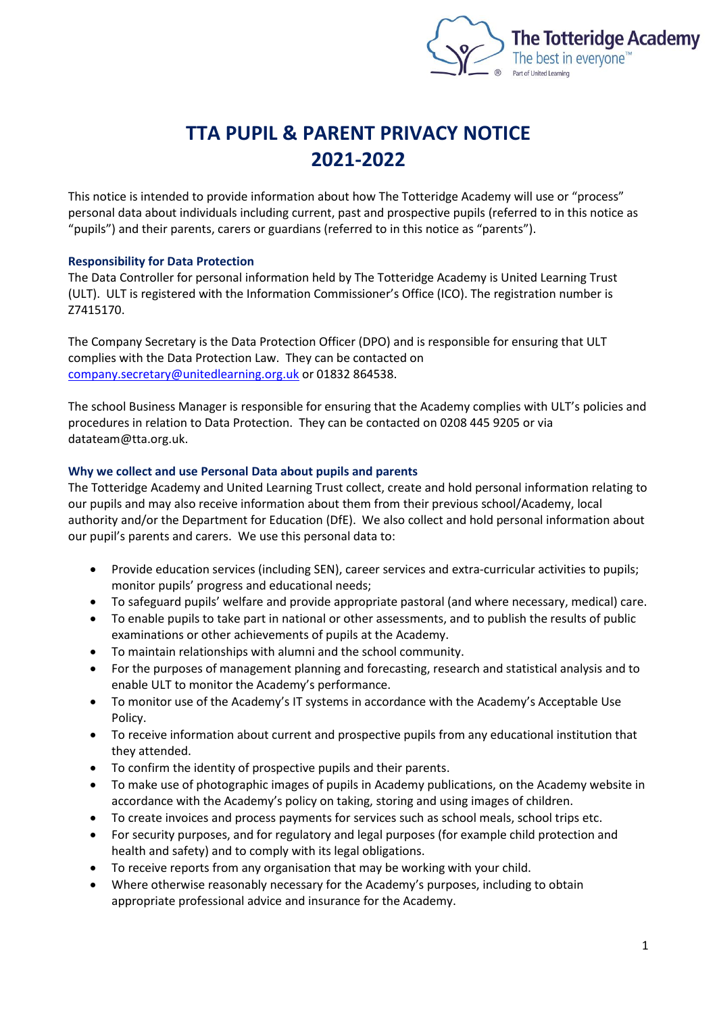

# **TTA PUPIL & PARENT PRIVACY NOTICE 2021-2022**

This notice is intended to provide information about how The Totteridge Academy will use or "process" personal data about individuals including current, past and prospective pupils (referred to in this notice as "pupils") and their parents, carers or guardians (referred to in this notice as "parents").

# **Responsibility for Data Protection**

The Data Controller for personal information held by The Totteridge Academy is United Learning Trust (ULT). ULT is registered with the Information Commissioner's Office (ICO). The registration number is Z7415170.

The Company Secretary is the Data Protection Officer (DPO) and is responsible for ensuring that ULT complies with the Data Protection Law. They can be contacted on [company.secretary@unitedlearning.org.uk](mailto:company.secretary@unitedlearning.org.uk) or 01832 864538.

The school Business Manager is responsible for ensuring that the Academy complies with ULT's policies and procedures in relation to Data Protection. They can be contacted on 0208 445 9205 or via datateam@tta.org.uk.

# **Why we collect and use Personal Data about pupils and parents**

The Totteridge Academy and United Learning Trust collect, create and hold personal information relating to our pupils and may also receive information about them from their previous school/Academy, local authority and/or the Department for Education (DfE). We also collect and hold personal information about our pupil's parents and carers. We use this personal data to:

- Provide education services (including SEN), career services and extra-curricular activities to pupils; monitor pupils' progress and educational needs;
- To safeguard pupils' welfare and provide appropriate pastoral (and where necessary, medical) care.
- To enable pupils to take part in national or other assessments, and to publish the results of public examinations or other achievements of pupils at the Academy.
- To maintain relationships with alumni and the school community.
- For the purposes of management planning and forecasting, research and statistical analysis and to enable ULT to monitor the Academy's performance.
- To monitor use of the Academy's IT systems in accordance with the Academy's Acceptable Use Policy.
- To receive information about current and prospective pupils from any educational institution that they attended.
- To confirm the identity of prospective pupils and their parents.
- To make use of photographic images of pupils in Academy publications, on the Academy website in accordance with the Academy's policy on taking, storing and using images of children.
- To create invoices and process payments for services such as school meals, school trips etc.
- For security purposes, and for regulatory and legal purposes (for example child protection and health and safety) and to comply with its legal obligations.
- To receive reports from any organisation that may be working with your child.
- Where otherwise reasonably necessary for the Academy's purposes, including to obtain appropriate professional advice and insurance for the Academy.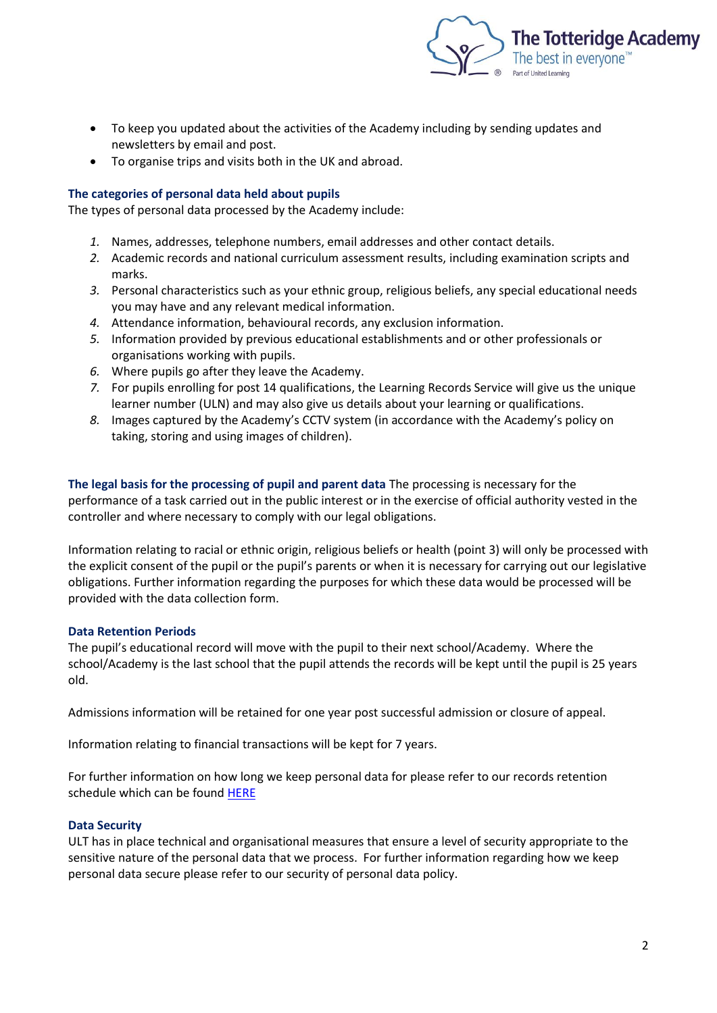

- To keep you updated about the activities of the Academy including by sending updates and newsletters by email and post.
- To organise trips and visits both in the UK and abroad.

## **The categories of personal data held about pupils**

The types of personal data processed by the Academy include:

- *1.* Names, addresses, telephone numbers, email addresses and other contact details.
- *2.* Academic records and national curriculum assessment results, including examination scripts and marks.
- *3.* Personal characteristics such as your ethnic group, religious beliefs, any special educational needs you may have and any relevant medical information.
- *4.* Attendance information, behavioural records, any exclusion information.
- *5.* Information provided by previous educational establishments and or other professionals or organisations working with pupils.
- *6.* Where pupils go after they leave the Academy.
- *7.* For pupils enrolling for post 14 qualifications, the Learning Records Service will give us the unique learner number (ULN) and may also give us details about your learning or qualifications.
- *8.* Images captured by the Academy's CCTV system (in accordance with the Academy's policy on taking, storing and using images of children).

**The legal basis for the processing of pupil and parent data** The processing is necessary for the performance of a task carried out in the public interest or in the exercise of official authority vested in the controller and where necessary to comply with our legal obligations.

Information relating to racial or ethnic origin, religious beliefs or health (point 3) will only be processed with the explicit consent of the pupil or the pupil's parents or when it is necessary for carrying out our legislative obligations. Further information regarding the purposes for which these data would be processed will be provided with the data collection form.

# **Data Retention Periods**

The pupil's educational record will move with the pupil to their next school/Academy. Where the school/Academy is the last school that the pupil attends the records will be kept until the pupil is 25 years old.

Admissions information will be retained for one year post successful admission or closure of appeal.

Information relating to financial transactions will be kept for 7 years.

For further information on how long we keep personal data for please refer to our records retention schedule which can be found [HERE](https://thetotteridgeacademy-my.sharepoint.com/personal/eleanor_milligan_tta_org_uk/documents/Eleanor/Policies/2021/Records%20Management%20Retention%20Schedule%20ULT.pdf)

# **Data Security**

ULT has in place technical and organisational measures that ensure a level of security appropriate to the sensitive nature of the personal data that we process. For further information regarding how we keep personal data secure please refer to our security of personal data policy.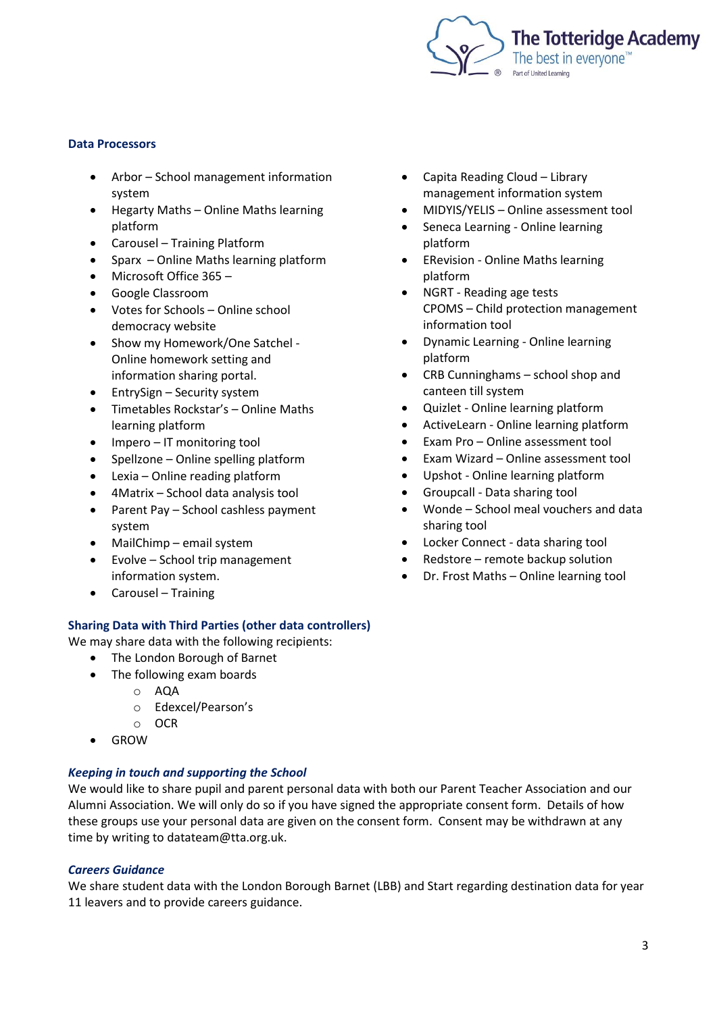

#### **Data Processors**

- Arbor School management information system
- Hegarty Maths Online Maths learning platform
- Carousel Training Platform
- Sparx Online Maths learning platform
- Microsoft Office 365 –
- Google Classroom
- Votes for Schools Online school democracy website
- Show my Homework/One Satchel Online homework setting and information sharing portal.
- EntrySign Security system
- Timetables Rockstar's Online Maths learning platform
- Impero IT monitoring tool
- Spellzone Online spelling platform
- Lexia Online reading platform
- 4Matrix School data analysis tool
- Parent Pay School cashless payment system
- MailChimp email system
- Evolve School trip management information system.
- Carousel Training

# **Sharing Data with Third Parties (other data controllers)**

We may share data with the following recipients:

- The London Borough of Barnet
- The following exam boards
	- o AQA
	- o Edexcel/Pearson's
	- o OCR
- GROW

# *Keeping in touch and supporting the School*

We would like to share pupil and parent personal data with both our Parent Teacher Association and our Alumni Association. We will only do so if you have signed the appropriate consent form. Details of how these groups use your personal data are given on the consent form. Consent may be withdrawn at any time by writing to datateam@tta.org.uk.

# *Careers Guidance*

We share student data with the London Borough Barnet (LBB) and Start regarding destination data for year 11 leavers and to provide careers guidance.

- Capita Reading Cloud Library management information system
- MIDYIS/YELIS Online assessment tool
- Seneca Learning Online learning platform
- ERevision Online Maths learning platform
- NGRT Reading age tests CPOMS – Child protection management information tool
- Dynamic Learning Online learning platform
- CRB Cunninghams school shop and canteen till system
- Quizlet Online learning platform
- ActiveLearn Online learning platform
- Exam Pro Online assessment tool
- Exam Wizard Online assessment tool
- Upshot Online learning platform
- Groupcall Data sharing tool
- Wonde School meal vouchers and data sharing tool
- Locker Connect data sharing tool
- Redstore remote backup solution
- Dr. Frost Maths Online learning tool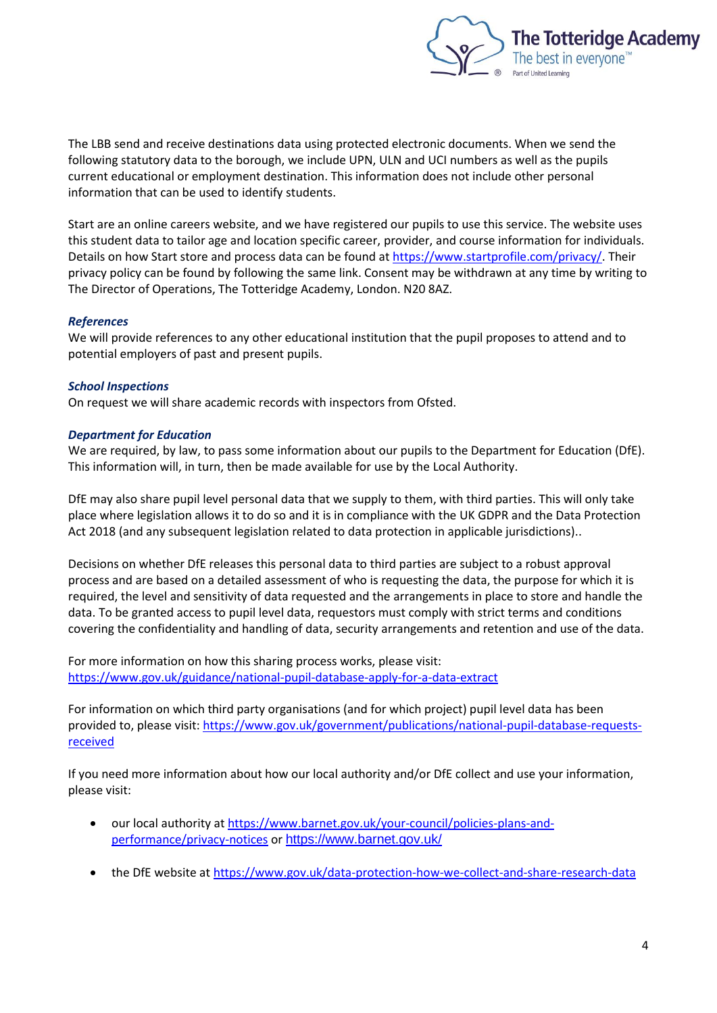

The LBB send and receive destinations data using protected electronic documents. When we send the following statutory data to the borough, we include UPN, ULN and UCI numbers as well as the pupils current educational or employment destination. This information does not include other personal information that can be used to identify students.

Start are an online careers website, and we have registered our pupils to use this service. The website uses this student data to tailor age and location specific career, provider, and course information for individuals. Details on how Start store and process data can be found at [https://www.startprofile.com/privacy/.](https://www.startprofile.com/privacy/) Their privacy policy can be found by following the same link. Consent may be withdrawn at any time by writing to The Director of Operations, The Totteridge Academy, London. N20 8AZ.

## *References*

We will provide references to any other educational institution that the pupil proposes to attend and to potential employers of past and present pupils.

#### *School Inspections*

On request we will share academic records with inspectors from Ofsted.

## *Department for Education*

We are required, by law, to pass some information about our pupils to the Department for Education (DfE). This information will, in turn, then be made available for use by the Local Authority.

DfE may also share pupil level personal data that we supply to them, with third parties. This will only take place where legislation allows it to do so and it is in compliance with the UK GDPR and the Data Protection Act 2018 (and any subsequent legislation related to data protection in applicable jurisdictions)..

Decisions on whether DfE releases this personal data to third parties are subject to a robust approval process and are based on a detailed assessment of who is requesting the data, the purpose for which it is required, the level and sensitivity of data requested and the arrangements in place to store and handle the data. To be granted access to pupil level data, requestors must comply with strict terms and conditions covering the confidentiality and handling of data, security arrangements and retention and use of the data.

For more information on how this sharing process works, please visit: <https://www.gov.uk/guidance/national-pupil-database-apply-for-a-data-extract>

For information on which third party organisations (and for which project) pupil level data has been provided to, please visit[: https://www.gov.uk/government/publications/national-pupil-database-requests](https://www.gov.uk/government/publications/national-pupil-database-requests-received)[received](https://www.gov.uk/government/publications/national-pupil-database-requests-received)

If you need more information about how our local authority and/or DfE collect and use your information, please visit:

- our local authority at [https://www.barnet.gov.uk/your-council/policies-plans-and](https://www.barnet.gov.uk/your-council/policies-plans-and-performance/privacy-notices)[performance/privacy-notices](https://www.barnet.gov.uk/your-council/policies-plans-and-performance/privacy-notices) or <https://www.barnet.gov.uk/>
- the DfE website at<https://www.gov.uk/data-protection-how-we-collect-and-share-research-data>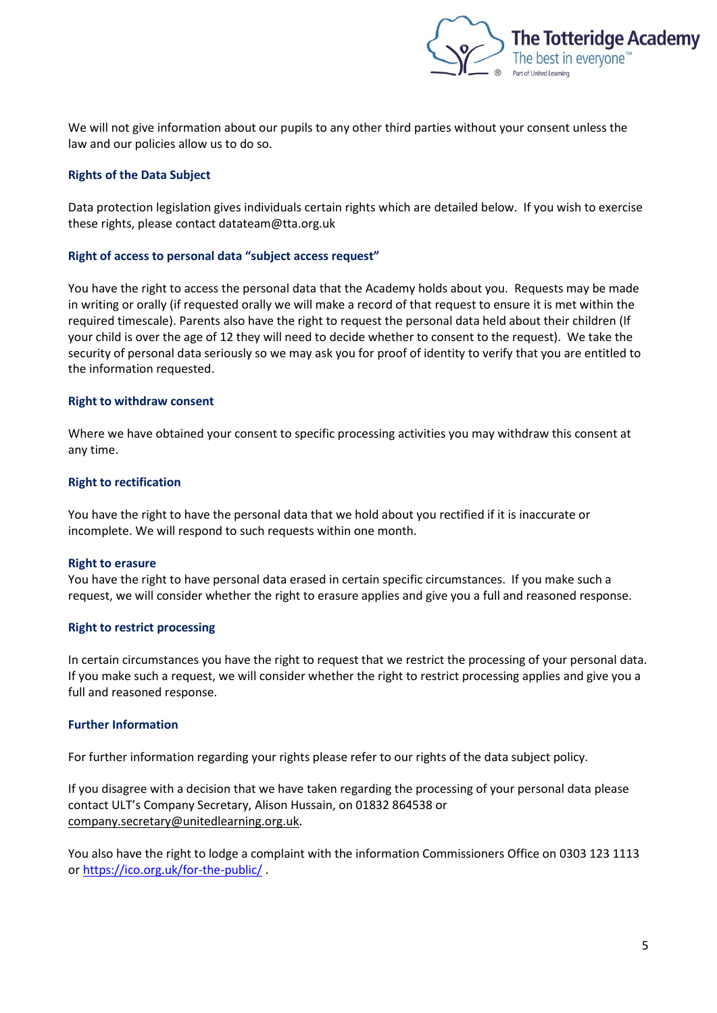

We will not give information about our pupils to any other third parties without your consent unless the law and our policies allow us to do so.

## **Rights of the Data Subject**

Data protection legislation gives individuals certain rights which are detailed below. If you wish to exercise these rights, please contact datateam@tta.org.uk

#### **Right of access to personal data "subject access request"**

You have the right to access the personal data that the Academy holds about you. Requests may be made in writing or orally (if requested orally we will make a record of that request to ensure it is met within the required timescale). Parents also have the right to request the personal data held about their children (If your child is over the age of 12 they will need to decide whether to consent to the request). We take the security of personal data seriously so we may ask you for proof of identity to verify that you are entitled to the information requested.

#### **Right to withdraw consent**

Where we have obtained your consent to specific processing activities you may withdraw this consent at any time.

#### **Right to rectification**

You have the right to have the personal data that we hold about you rectified if it is inaccurate or incomplete. We will respond to such requests within one month.

#### **Right to erasure**

You have the right to have personal data erased in certain specific circumstances. If you make such a request, we will consider whether the right to erasure applies and give you a full and reasoned response.

#### **Right to restrict processing**

In certain circumstances you have the right to request that we restrict the processing of your personal data. If you make such a request, we will consider whether the right to restrict processing applies and give you a full and reasoned response.

#### **Further Information**

For further information regarding your rights please refer to our rights of the data subject policy.

If you disagree with a decision that we have taken regarding the processing of your personal data please contact ULT's Company Secretary, Alison Hussain, on 01832 864538 or [company.secretary@unitedlearning.org.uk.](mailto:company.secretary@unitedlearning.org.uk)

You also have the right to lodge a complaint with the information Commissioners Office on 0303 123 1113 or <https://ico.org.uk/for-the-public/> .